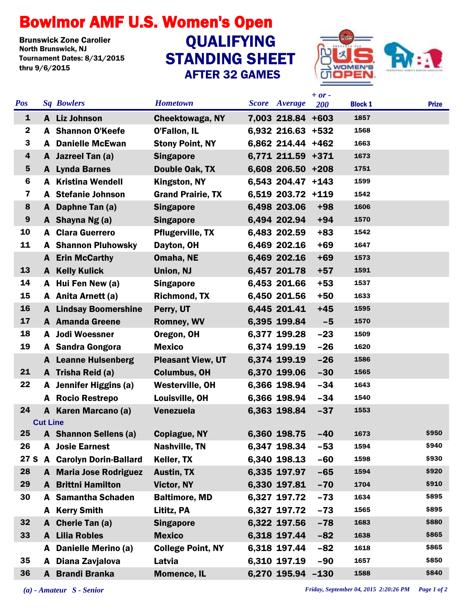## Bowlmor AMF U.S. Women's Open

**Brunswick Zone Carolier<br>North Brunswick, NJ** Tournament Dates: 8/31/2015 thru 9/6/2015

## STANDING SHEET AFTER 32 GAMES **QUALIFYING**



|  |                         |                 |                               |                          |                      | $+ or -$ |                |              |
|--|-------------------------|-----------------|-------------------------------|--------------------------|----------------------|----------|----------------|--------------|
|  | <b>Pos</b>              |                 | <b>Sq Bowlers</b>             | <b>Hometown</b>          | <b>Score</b> Average | 200      | <b>Block 1</b> | <b>Prize</b> |
|  | $\mathbf{1}$            |                 | A Liz Johnson                 | <b>Cheektowaga, NY</b>   | 7,003 218.84 +603    |          | 1857           |              |
|  | $\mathbf{2}$            |                 | A Shannon O'Keefe             | O'Fallon, IL             | 6,932 216.63 +532    |          | 1568           |              |
|  | 3                       |                 | <b>A</b> Danielle McEwan      | <b>Stony Point, NY</b>   | 6,862 214.44 +462    |          | 1663           |              |
|  | $\overline{\mathbf{4}}$ |                 | A Jazreel Tan (a)             | <b>Singapore</b>         | 6.771 211.59 +371    |          | 1673           |              |
|  | 5                       |                 | A Lynda Barnes                | Double Oak, TX           | 6,608 206.50 +208    |          | 1751           |              |
|  | 6                       |                 | <b>A</b> Kristina Wendell     | <b>Kingston, NY</b>      | 6,543 204.47 +143    |          | 1599           |              |
|  | 7                       |                 | A Stefanie Johnson            | <b>Grand Prairie, TX</b> | 6,519 203.72 +119    |          | 1542           |              |
|  | 8                       | A               | Daphne Tan (a)                | <b>Singapore</b>         | 6,498 203.06         | $+98$    | 1606           |              |
|  | 9                       |                 | A Shayna Ng (a)               | <b>Singapore</b>         | 6,494 202.94         | $+94$    | 1570           |              |
|  | 10                      |                 | <b>A</b> Clara Guerrero       | <b>Pflugerville, TX</b>  | 6,483 202.59         | $+83$    | 1542           |              |
|  | 11                      |                 | <b>A</b> Shannon Pluhowsky    | Dayton, OH               | 6,469 202.16         | $+69$    | 1647           |              |
|  |                         |                 | A Erin McCarthy               | Omaha, NE                | 6,469 202.16         | $+69$    | 1573           |              |
|  | 13                      |                 | <b>A</b> Kelly Kulick         | Union, NJ                | 6,457 201.78         | $+57$    | 1591           |              |
|  | 14                      |                 | A Hui Fen New (a)             | <b>Singapore</b>         | 6,453 201.66         | $+53$    | 1537           |              |
|  | 15                      |                 | A Anita Arnett (a)            | <b>Richmond, TX</b>      | 6,450 201.56         | $+50$    | 1633           |              |
|  | 16                      |                 | <b>A</b> Lindsay Boomershine  | Perry, UT                | 6,445 201.41         | $+45$    | 1595           |              |
|  | 17                      |                 | <b>A</b> Amanda Greene        | <b>Romney, WV</b>        | 6,395 199.84         | $-5$     | 1570           |              |
|  | 18                      | A               | <b>Jodi Woessner</b>          | Oregon, OH               | 6,377 199.28         | $-23$    | 1509           |              |
|  | 19                      |                 | A Sandra Gongora              | <b>Mexico</b>            | 6,374 199.19         | $-26$    | 1620           |              |
|  |                         |                 | <b>A</b> Leanne Hulsenberg    | <b>Pleasant View, UT</b> | 6,374 199.19         | $-26$    | 1586           |              |
|  | 21                      |                 | A Trisha Reid (a)             | <b>Columbus, OH</b>      | 6,370 199.06         | $-30$    | 1565           |              |
|  | 22                      | A               | Jennifer Higgins (a)          | <b>Westerville, OH</b>   | 6,366 198.94         | $-34$    | 1643           |              |
|  |                         |                 | <b>A</b> Rocio Restrepo       | Louisville, OH           | 6,366 198.94         | $-34$    | 1540           |              |
|  | 24                      |                 | A Karen Marcano (a)           | Venezuela                | 6,363 198.84         | $-37$    | 1553           |              |
|  |                         | <b>Cut Line</b> |                               |                          |                      |          |                |              |
|  | 25                      |                 | <b>A</b> Shannon Sellens (a)  | <b>Copiague, NY</b>      | 6,360 198.75         | $-40$    | 1673           | \$950        |
|  | 26                      |                 | A Josie Earnest               | <b>Nashville, TN</b>     | 6,347 198.34         | $-53$    | 1594           | \$940        |
|  | 27 S                    | A               | <b>Carolyn Dorin-Ballard</b>  | Keller, TX               | 6,340 198.13         | $-60$    | 1598           | \$930        |
|  | 28                      |                 | <b>A</b> Maria Jose Rodriguez | <b>Austin, TX</b>        | 6,335 197.97         | $-65$    | 1594           | \$920        |
|  | 29                      |                 | <b>A</b> Brittni Hamilton     | <b>Victor, NY</b>        | 6,330 197.81         | $-70$    | 1704           | \$910        |
|  | 30                      |                 | A Samantha Schaden            | <b>Baltimore, MD</b>     | 6,327 197.72         | $-73$    | 1634           | \$895        |
|  |                         | A               | <b>Kerry Smith</b>            | Lititz, PA               | 6,327 197.72         | $-73$    | 1565           | \$895        |
|  | 32                      | A               | <b>Cherie Tan (a)</b>         | <b>Singapore</b>         | 6,322 197.56         | $-78$    | 1683           | \$880        |
|  | 33                      |                 | <b>A</b> Lilia Robles         | <b>Mexico</b>            | 6,318 197.44         | $-82$    | 1638           | \$865        |
|  |                         | A               | Danielle Merino (a)           | <b>College Point, NY</b> | 6,318 197.44         | $-82$    | 1618           | \$865        |
|  | 35                      | A               | Diana Zavjalova               | Latvia                   | 6,310 197.19         | $-90$    | 1657           | \$850        |
|  | 36                      |                 | A Brandi Branka               | <b>Momence, IL</b>       | 6,270 195.94 -130    |          | 1588           | \$840        |